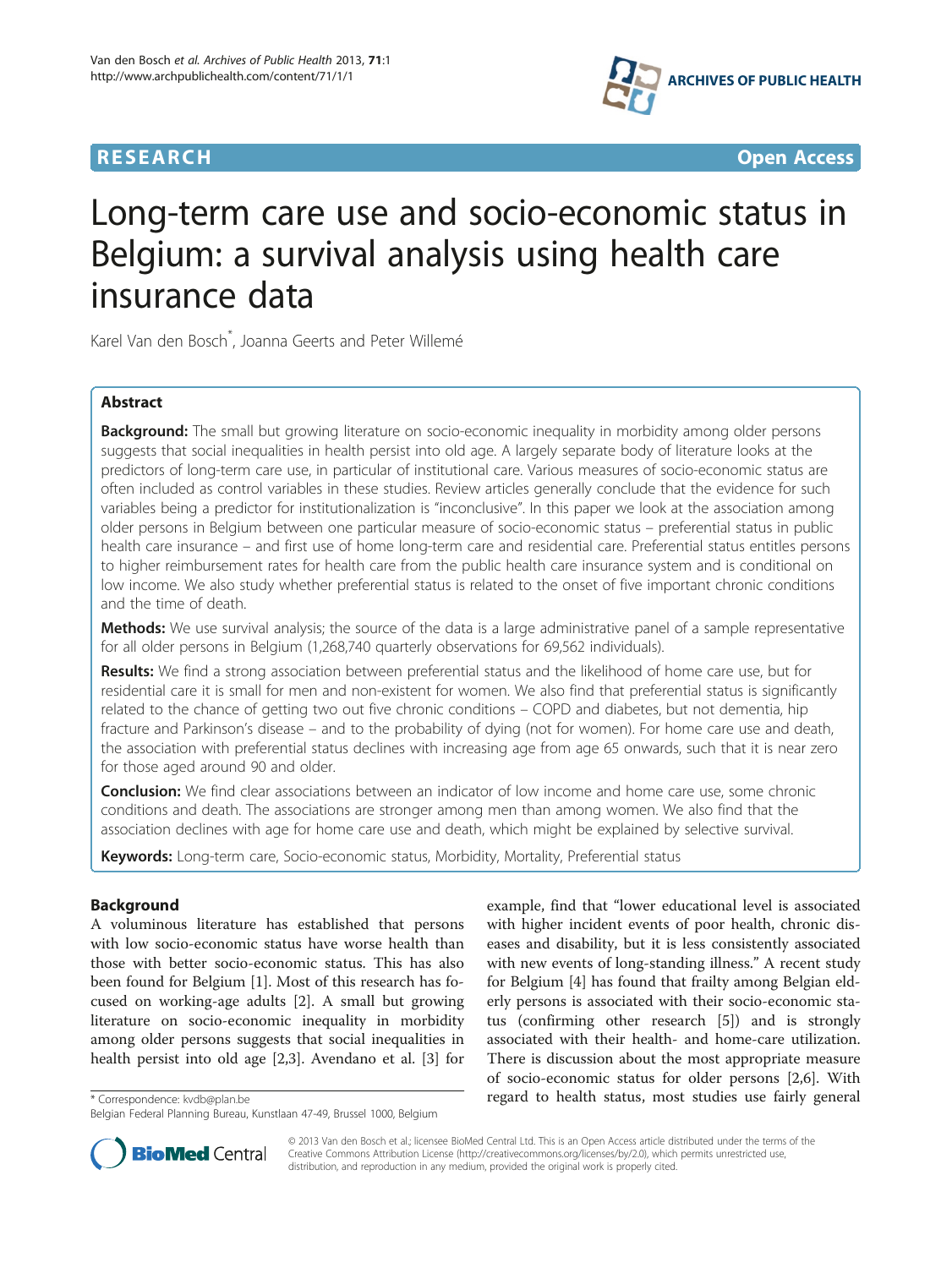



# Long-term care use and socio-economic status in Belgium: a survival analysis using health care insurance data

Karel Van den Bosch\* , Joanna Geerts and Peter Willemé

# Abstract

Background: The small but growing literature on socio-economic inequality in morbidity among older persons suggests that social inequalities in health persist into old age. A largely separate body of literature looks at the predictors of long-term care use, in particular of institutional care. Various measures of socio-economic status are often included as control variables in these studies. Review articles generally conclude that the evidence for such variables being a predictor for institutionalization is "inconclusive". In this paper we look at the association among older persons in Belgium between one particular measure of socio-economic status – preferential status in public health care insurance – and first use of home long-term care and residential care. Preferential status entitles persons to higher reimbursement rates for health care from the public health care insurance system and is conditional on low income. We also study whether preferential status is related to the onset of five important chronic conditions and the time of death.

Methods: We use survival analysis; the source of the data is a large administrative panel of a sample representative for all older persons in Belgium (1,268,740 quarterly observations for 69,562 individuals).

Results: We find a strong association between preferential status and the likelihood of home care use, but for residential care it is small for men and non-existent for women. We also find that preferential status is significantly related to the chance of getting two out five chronic conditions – COPD and diabetes, but not dementia, hip fracture and Parkinson's disease – and to the probability of dying (not for women). For home care use and death, the association with preferential status declines with increasing age from age 65 onwards, such that it is near zero for those aged around 90 and older.

**Conclusion:** We find clear associations between an indicator of low income and home care use, some chronic conditions and death. The associations are stronger among men than among women. We also find that the association declines with age for home care use and death, which might be explained by selective survival.

Keywords: Long-term care, Socio-economic status, Morbidity, Mortality, Preferential status

# Background

A voluminous literature has established that persons with low socio-economic status have worse health than those with better socio-economic status. This has also been found for Belgium [[1\]](#page-7-0). Most of this research has focused on working-age adults [[2\]](#page-7-0). A small but growing literature on socio-economic inequality in morbidity among older persons suggests that social inequalities in health persist into old age [\[2](#page-7-0),[3](#page-7-0)]. Avendano et al. [[3\]](#page-7-0) for

example, find that "lower educational level is associated with higher incident events of poor health, chronic diseases and disability, but it is less consistently associated with new events of long-standing illness." A recent study for Belgium [\[4\]](#page-7-0) has found that frailty among Belgian elderly persons is associated with their socio-economic status (confirming other research [[5\]](#page-7-0)) and is strongly associated with their health- and home-care utilization. There is discussion about the most appropriate measure of socio-economic status for older persons [[2,6\]](#page-7-0). With \* Correspondence: [kvdb@plan.be](mailto:kvdb@plan.be) regard to health status, most studies use fairly general



© 2013 Van den Bosch et al.; licensee BioMed Central Ltd. This is an Open Access article distributed under the terms of the Creative Commons Attribution License (<http://creativecommons.org/licenses/by/2.0>), which permits unrestricted use, distribution, and reproduction in any medium, provided the original work is properly cited.

Belgian Federal Planning Bureau, Kunstlaan 47-49, Brussel 1000, Belgium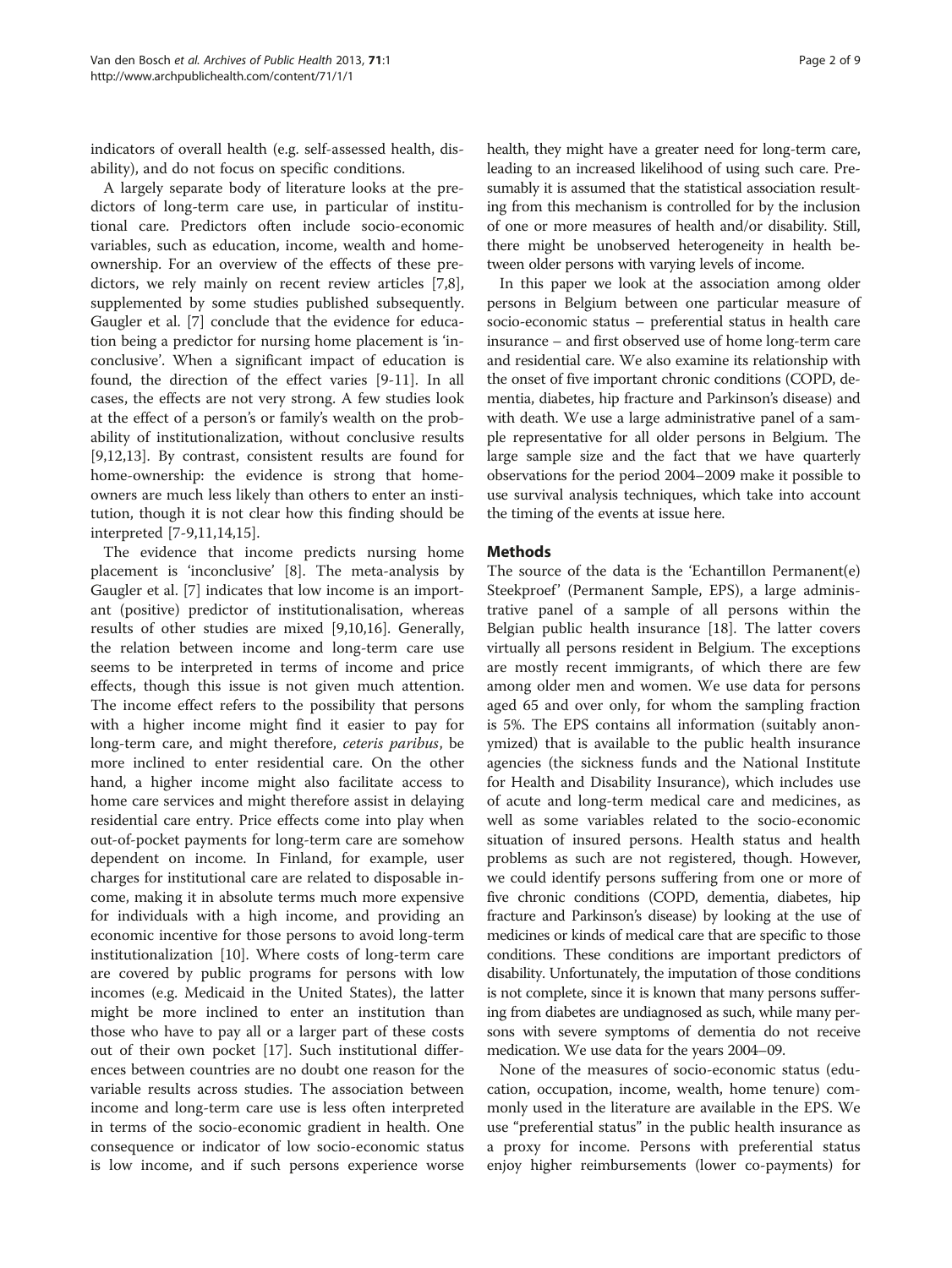indicators of overall health (e.g. self-assessed health, disability), and do not focus on specific conditions.

A largely separate body of literature looks at the predictors of long-term care use, in particular of institutional care. Predictors often include socio-economic variables, such as education, income, wealth and homeownership. For an overview of the effects of these predictors, we rely mainly on recent review articles [\[7,8](#page-7-0)], supplemented by some studies published subsequently. Gaugler et al. [[7\]](#page-7-0) conclude that the evidence for education being a predictor for nursing home placement is 'inconclusive'. When a significant impact of education is found, the direction of the effect varies [\[9](#page-7-0)-[11\]](#page-7-0). In all cases, the effects are not very strong. A few studies look at the effect of a person's or family's wealth on the probability of institutionalization, without conclusive results [[9,12,13\]](#page-7-0). By contrast, consistent results are found for home-ownership: the evidence is strong that homeowners are much less likely than others to enter an institution, though it is not clear how this finding should be interpreted [\[7](#page-7-0)-[9](#page-7-0),[11](#page-7-0),[14](#page-7-0),[15](#page-8-0)].

The evidence that income predicts nursing home placement is 'inconclusive' [\[8](#page-7-0)]. The meta-analysis by Gaugler et al. [[7\]](#page-7-0) indicates that low income is an important (positive) predictor of institutionalisation, whereas results of other studies are mixed [\[9](#page-7-0),[10](#page-7-0)[,16](#page-8-0)]. Generally, the relation between income and long-term care use seems to be interpreted in terms of income and price effects, though this issue is not given much attention. The income effect refers to the possibility that persons with a higher income might find it easier to pay for long-term care, and might therefore, ceteris paribus, be more inclined to enter residential care. On the other hand, a higher income might also facilitate access to home care services and might therefore assist in delaying residential care entry. Price effects come into play when out-of-pocket payments for long-term care are somehow dependent on income. In Finland, for example, user charges for institutional care are related to disposable income, making it in absolute terms much more expensive for individuals with a high income, and providing an economic incentive for those persons to avoid long-term institutionalization [[10\]](#page-7-0). Where costs of long-term care are covered by public programs for persons with low incomes (e.g. Medicaid in the United States), the latter might be more inclined to enter an institution than those who have to pay all or a larger part of these costs out of their own pocket [[17\]](#page-8-0). Such institutional differences between countries are no doubt one reason for the variable results across studies. The association between income and long-term care use is less often interpreted in terms of the socio-economic gradient in health. One consequence or indicator of low socio-economic status is low income, and if such persons experience worse health, they might have a greater need for long-term care, leading to an increased likelihood of using such care. Presumably it is assumed that the statistical association resulting from this mechanism is controlled for by the inclusion of one or more measures of health and/or disability. Still, there might be unobserved heterogeneity in health between older persons with varying levels of income.

In this paper we look at the association among older persons in Belgium between one particular measure of socio-economic status – preferential status in health care insurance – and first observed use of home long-term care and residential care. We also examine its relationship with the onset of five important chronic conditions (COPD, dementia, diabetes, hip fracture and Parkinson's disease) and with death. We use a large administrative panel of a sample representative for all older persons in Belgium. The large sample size and the fact that we have quarterly observations for the period 2004–2009 make it possible to use survival analysis techniques, which take into account the timing of the events at issue here.

# **Methods**

The source of the data is the 'Echantillon Permanent(e) Steekproef' (Permanent Sample, EPS), a large administrative panel of a sample of all persons within the Belgian public health insurance [\[18\]](#page-8-0). The latter covers virtually all persons resident in Belgium. The exceptions are mostly recent immigrants, of which there are few among older men and women. We use data for persons aged 65 and over only, for whom the sampling fraction is 5%. The EPS contains all information (suitably anonymized) that is available to the public health insurance agencies (the sickness funds and the National Institute for Health and Disability Insurance), which includes use of acute and long-term medical care and medicines, as well as some variables related to the socio-economic situation of insured persons. Health status and health problems as such are not registered, though. However, we could identify persons suffering from one or more of five chronic conditions (COPD, dementia, diabetes, hip fracture and Parkinson's disease) by looking at the use of medicines or kinds of medical care that are specific to those conditions. These conditions are important predictors of disability. Unfortunately, the imputation of those conditions is not complete, since it is known that many persons suffering from diabetes are undiagnosed as such, while many persons with severe symptoms of dementia do not receive medication. We use data for the years 2004–09.

None of the measures of socio-economic status (education, occupation, income, wealth, home tenure) commonly used in the literature are available in the EPS. We use "preferential status" in the public health insurance as a proxy for income. Persons with preferential status enjoy higher reimbursements (lower co-payments) for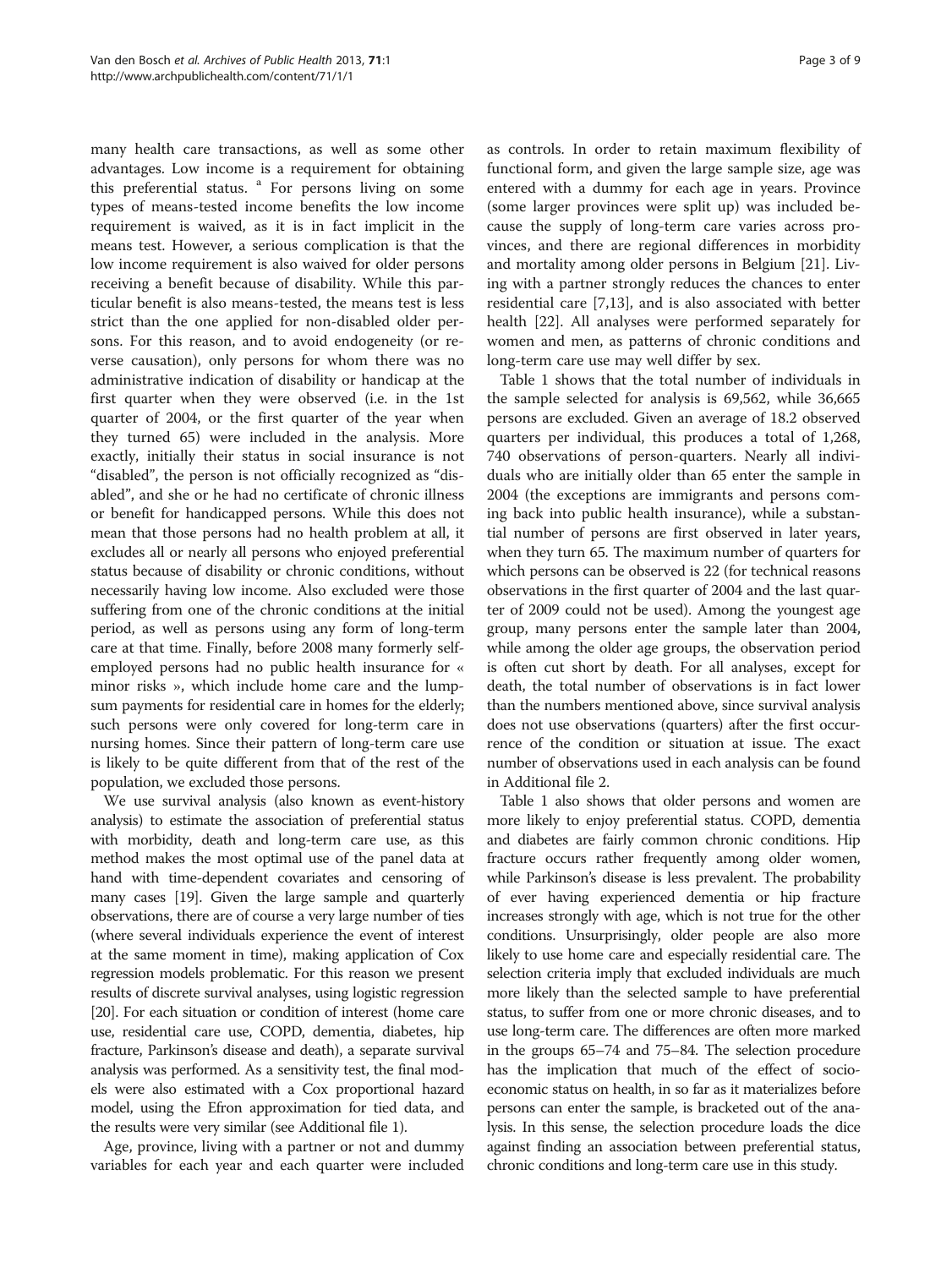many health care transactions, as well as some other advantages. Low income is a requirement for obtaining this preferential status. <sup>a</sup> For persons living on some types of means-tested income benefits the low income requirement is waived, as it is in fact implicit in the means test. However, a serious complication is that the low income requirement is also waived for older persons receiving a benefit because of disability. While this particular benefit is also means-tested, the means test is less strict than the one applied for non-disabled older persons. For this reason, and to avoid endogeneity (or reverse causation), only persons for whom there was no administrative indication of disability or handicap at the first quarter when they were observed (i.e. in the 1st quarter of 2004, or the first quarter of the year when they turned 65) were included in the analysis. More exactly, initially their status in social insurance is not "disabled", the person is not officially recognized as "disabled", and she or he had no certificate of chronic illness or benefit for handicapped persons. While this does not mean that those persons had no health problem at all, it excludes all or nearly all persons who enjoyed preferential status because of disability or chronic conditions, without necessarily having low income. Also excluded were those suffering from one of the chronic conditions at the initial period, as well as persons using any form of long-term care at that time. Finally, before 2008 many formerly selfemployed persons had no public health insurance for « minor risks », which include home care and the lumpsum payments for residential care in homes for the elderly; such persons were only covered for long-term care in nursing homes. Since their pattern of long-term care use is likely to be quite different from that of the rest of the population, we excluded those persons.

We use survival analysis (also known as event-history analysis) to estimate the association of preferential status with morbidity, death and long-term care use, as this method makes the most optimal use of the panel data at hand with time-dependent covariates and censoring of many cases [\[19\]](#page-8-0). Given the large sample and quarterly observations, there are of course a very large number of ties (where several individuals experience the event of interest at the same moment in time), making application of Cox regression models problematic. For this reason we present results of discrete survival analyses, using logistic regression [[20](#page-8-0)]. For each situation or condition of interest (home care use, residential care use, COPD, dementia, diabetes, hip fracture, Parkinson's disease and death), a separate survival analysis was performed. As a sensitivity test, the final models were also estimated with a Cox proportional hazard model, using the Efron approximation for tied data, and the results were very similar (see Additional file [1\)](#page-7-0).

Age, province, living with a partner or not and dummy variables for each year and each quarter were included

as controls. In order to retain maximum flexibility of functional form, and given the large sample size, age was entered with a dummy for each age in years. Province (some larger provinces were split up) was included because the supply of long-term care varies across provinces, and there are regional differences in morbidity and mortality among older persons in Belgium [\[21\]](#page-8-0). Living with a partner strongly reduces the chances to enter residential care [\[7,13](#page-7-0)], and is also associated with better health [\[22](#page-8-0)]. All analyses were performed separately for women and men, as patterns of chronic conditions and long-term care use may well differ by sex.

Table [1](#page-3-0) shows that the total number of individuals in the sample selected for analysis is 69,562, while 36,665 persons are excluded. Given an average of 18.2 observed quarters per individual, this produces a total of 1,268, 740 observations of person-quarters. Nearly all individuals who are initially older than 65 enter the sample in 2004 (the exceptions are immigrants and persons coming back into public health insurance), while a substantial number of persons are first observed in later years, when they turn 65. The maximum number of quarters for which persons can be observed is 22 (for technical reasons observations in the first quarter of 2004 and the last quarter of 2009 could not be used). Among the youngest age group, many persons enter the sample later than 2004, while among the older age groups, the observation period is often cut short by death. For all analyses, except for death, the total number of observations is in fact lower than the numbers mentioned above, since survival analysis does not use observations (quarters) after the first occurrence of the condition or situation at issue. The exact number of observations used in each analysis can be found in Additional file [2](#page-7-0).

Table [1](#page-3-0) also shows that older persons and women are more likely to enjoy preferential status. COPD, dementia and diabetes are fairly common chronic conditions. Hip fracture occurs rather frequently among older women, while Parkinson's disease is less prevalent. The probability of ever having experienced dementia or hip fracture increases strongly with age, which is not true for the other conditions. Unsurprisingly, older people are also more likely to use home care and especially residential care. The selection criteria imply that excluded individuals are much more likely than the selected sample to have preferential status, to suffer from one or more chronic diseases, and to use long-term care. The differences are often more marked in the groups 65–74 and 75–84. The selection procedure has the implication that much of the effect of socioeconomic status on health, in so far as it materializes before persons can enter the sample, is bracketed out of the analysis. In this sense, the selection procedure loads the dice against finding an association between preferential status, chronic conditions and long-term care use in this study.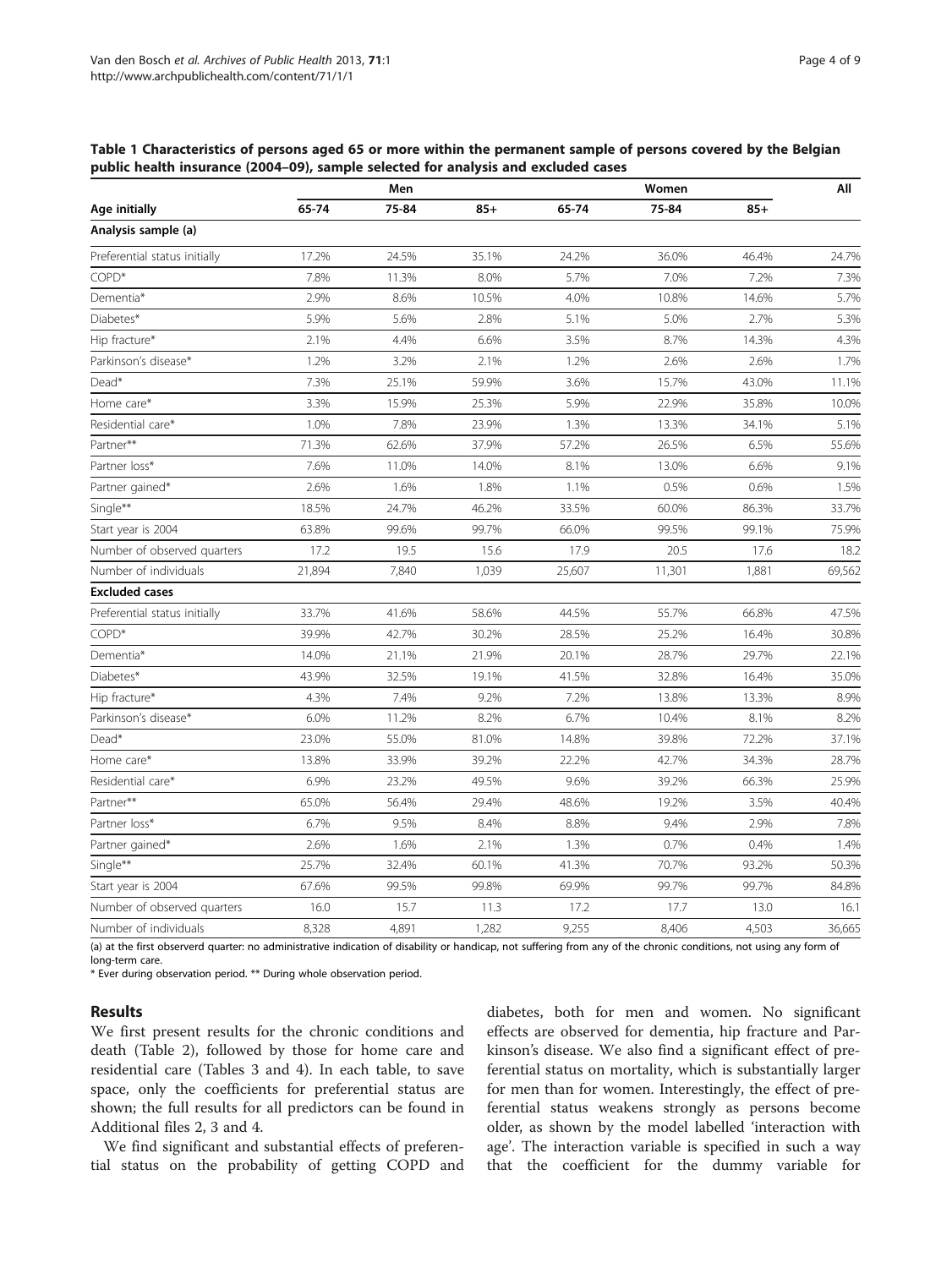<span id="page-3-0"></span>Table 1 Characteristics of persons aged 65 or more within the permanent sample of persons covered by the Belgian public health insurance (2004–09), sample selected for analysis and excluded cases

|                               |        | Men   |       | Women  |        |       | All    |
|-------------------------------|--------|-------|-------|--------|--------|-------|--------|
| Age initially                 | 65-74  | 75-84 | $85+$ | 65-74  | 75-84  | $85+$ |        |
| Analysis sample (a)           |        |       |       |        |        |       |        |
| Preferential status initially | 17.2%  | 24.5% | 35.1% | 24.2%  | 36.0%  | 46.4% | 24.7%  |
| COPD*                         | 7.8%   | 11.3% | 8.0%  | 5.7%   | 7.0%   | 7.2%  | 7.3%   |
| Dementia*                     | 2.9%   | 8.6%  | 10.5% | 4.0%   | 10.8%  | 14.6% | 5.7%   |
| Diabetes*                     | 5.9%   | 5.6%  | 2.8%  | 5.1%   | 5.0%   | 2.7%  | 5.3%   |
| Hip fracture*                 | 2.1%   | 4.4%  | 6.6%  | 3.5%   | 8.7%   | 14.3% | 4.3%   |
| Parkinson's disease*          | 1.2%   | 3.2%  | 2.1%  | 1.2%   | 2.6%   | 2.6%  | 1.7%   |
| Dead*                         | 7.3%   | 25.1% | 59.9% | 3.6%   | 15.7%  | 43.0% | 11.1%  |
| Home care*                    | 3.3%   | 15.9% | 25.3% | 5.9%   | 22.9%  | 35.8% | 10.0%  |
| Residential care*             | 1.0%   | 7.8%  | 23.9% | 1.3%   | 13.3%  | 34.1% | 5.1%   |
| Partner**                     | 71.3%  | 62.6% | 37.9% | 57.2%  | 26.5%  | 6.5%  | 55.6%  |
| Partner loss*                 | 7.6%   | 11.0% | 14.0% | 8.1%   | 13.0%  | 6.6%  | 9.1%   |
| Partner gained*               | 2.6%   | 1.6%  | 1.8%  | 1.1%   | 0.5%   | 0.6%  | 1.5%   |
| Single**                      | 18.5%  | 24.7% | 46.2% | 33.5%  | 60.0%  | 86.3% | 33.7%  |
| Start year is 2004            | 63.8%  | 99.6% | 99.7% | 66.0%  | 99.5%  | 99.1% | 75.9%  |
| Number of observed quarters   | 17.2   | 19.5  | 15.6  | 17.9   | 20.5   | 17.6  | 18.2   |
| Number of individuals         | 21,894 | 7,840 | 1,039 | 25,607 | 11,301 | 1,881 | 69,562 |
| <b>Excluded cases</b>         |        |       |       |        |        |       |        |
| Preferential status initially | 33.7%  | 41.6% | 58.6% | 44.5%  | 55.7%  | 66.8% | 47.5%  |
| COPD*                         | 39.9%  | 42.7% | 30.2% | 28.5%  | 25.2%  | 16.4% | 30.8%  |
| Dementia*                     | 14.0%  | 21.1% | 21.9% | 20.1%  | 28.7%  | 29.7% | 22.1%  |
| Diabetes*                     | 43.9%  | 32.5% | 19.1% | 41.5%  | 32.8%  | 16.4% | 35.0%  |
| Hip fracture*                 | 4.3%   | 7.4%  | 9.2%  | 7.2%   | 13.8%  | 13.3% | 8.9%   |
| Parkinson's disease*          | 6.0%   | 11.2% | 8.2%  | 6.7%   | 10.4%  | 8.1%  | 8.2%   |
| Dead*                         | 23.0%  | 55.0% | 81.0% | 14.8%  | 39.8%  | 72.2% | 37.1%  |
| Home care*                    | 13.8%  | 33.9% | 39.2% | 22.2%  | 42.7%  | 34.3% | 28.7%  |
| Residential care*             | 6.9%   | 23.2% | 49.5% | 9.6%   | 39.2%  | 66.3% | 25.9%  |
| Partner**                     | 65.0%  | 56.4% | 29.4% | 48.6%  | 19.2%  | 3.5%  | 40.4%  |
| Partner loss*                 | 6.7%   | 9.5%  | 8.4%  | 8.8%   | 9.4%   | 2.9%  | 7.8%   |
| Partner gained*               | 2.6%   | 1.6%  | 2.1%  | 1.3%   | 0.7%   | 0.4%  | 1.4%   |
| Single**                      | 25.7%  | 32.4% | 60.1% | 41.3%  | 70.7%  | 93.2% | 50.3%  |
| Start year is 2004            | 67.6%  | 99.5% | 99.8% | 69.9%  | 99.7%  | 99.7% | 84.8%  |
| Number of observed quarters   | 16.0   | 15.7  | 11.3  | 17.2   | 17.7   | 13.0  | 16.1   |
| Number of individuals         | 8,328  | 4,891 | 1,282 | 9,255  | 8,406  | 4,503 | 36,665 |

(a) at the first observerd quarter: no administrative indication of disability or handicap, not suffering from any of the chronic conditions, not using any form of long-term care.

\* Ever during observation period. \*\* During whole observation period.

#### Results

We first present results for the chronic conditions and death (Table [2](#page-4-0)), followed by those for home care and residential care (Tables [3](#page-4-0) and [4](#page-5-0)). In each table, to save space, only the coefficients for preferential status are shown; the full results for all predictors can be found in Additional files [2, 3](#page-7-0) and [4.](#page-7-0)

We find significant and substantial effects of preferential status on the probability of getting COPD and

diabetes, both for men and women. No significant effects are observed for dementia, hip fracture and Parkinson's disease. We also find a significant effect of preferential status on mortality, which is substantially larger for men than for women. Interestingly, the effect of preferential status weakens strongly as persons become older, as shown by the model labelled 'interaction with age'. The interaction variable is specified in such a way that the coefficient for the dummy variable for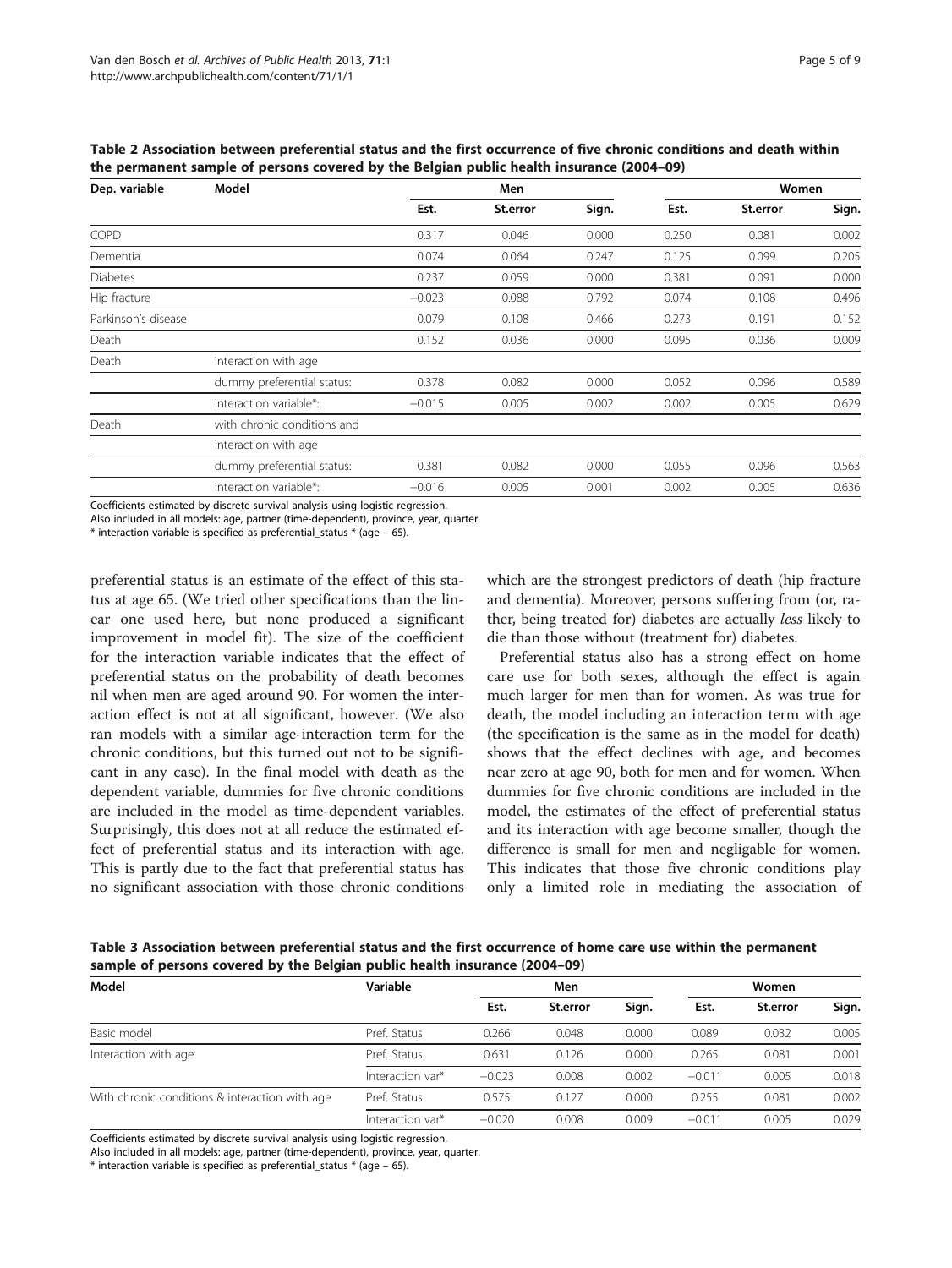<span id="page-4-0"></span>Table 2 Association between preferential status and the first occurrence of five chronic conditions and death within the permanent sample of persons covered by the Belgian public health insurance (2004–09)

| Dep. variable       | Model                       | Men      |          |       |       | Women    |       |
|---------------------|-----------------------------|----------|----------|-------|-------|----------|-------|
|                     |                             | Est.     | St.error | Sign. | Est.  | St.error | Sign. |
| <b>COPD</b>         |                             | 0.317    | 0.046    | 0.000 | 0.250 | 0.081    | 0.002 |
| Dementia            |                             | 0.074    | 0.064    | 0.247 | 0.125 | 0.099    | 0.205 |
| <b>Diabetes</b>     |                             | 0.237    | 0.059    | 0.000 | 0.381 | 0.091    | 0.000 |
| Hip fracture        |                             | $-0.023$ | 0.088    | 0.792 | 0.074 | 0.108    | 0.496 |
| Parkinson's disease |                             | 0.079    | 0.108    | 0.466 | 0.273 | 0.191    | 0.152 |
| Death               |                             | 0.152    | 0.036    | 0.000 | 0.095 | 0.036    | 0.009 |
| Death               | interaction with age        |          |          |       |       |          |       |
|                     | dummy preferential status:  | 0.378    | 0.082    | 0.000 | 0.052 | 0.096    | 0.589 |
|                     | interaction variable*:      | $-0.015$ | 0.005    | 0.002 | 0.002 | 0.005    | 0.629 |
| Death               | with chronic conditions and |          |          |       |       |          |       |
|                     | interaction with age        |          |          |       |       |          |       |
|                     | dummy preferential status:  | 0.381    | 0.082    | 0.000 | 0.055 | 0.096    | 0.563 |
|                     | interaction variable*:      | $-0.016$ | 0.005    | 0.001 | 0.002 | 0.005    | 0.636 |

Coefficients estimated by discrete survival analysis using logistic regression.

Also included in all models: age, partner (time-dependent), province, year, quarter.

 $*$  interaction variable is specified as preferential\_status  $*$  (age – 65).

preferential status is an estimate of the effect of this status at age 65. (We tried other specifications than the linear one used here, but none produced a significant improvement in model fit). The size of the coefficient for the interaction variable indicates that the effect of preferential status on the probability of death becomes nil when men are aged around 90. For women the interaction effect is not at all significant, however. (We also ran models with a similar age-interaction term for the chronic conditions, but this turned out not to be significant in any case). In the final model with death as the dependent variable, dummies for five chronic conditions are included in the model as time-dependent variables. Surprisingly, this does not at all reduce the estimated effect of preferential status and its interaction with age. This is partly due to the fact that preferential status has no significant association with those chronic conditions which are the strongest predictors of death (hip fracture and dementia). Moreover, persons suffering from (or, rather, being treated for) diabetes are actually less likely to die than those without (treatment for) diabetes.

Preferential status also has a strong effect on home care use for both sexes, although the effect is again much larger for men than for women. As was true for death, the model including an interaction term with age (the specification is the same as in the model for death) shows that the effect declines with age, and becomes near zero at age 90, both for men and for women. When dummies for five chronic conditions are included in the model, the estimates of the effect of preferential status and its interaction with age become smaller, though the difference is small for men and negligable for women. This indicates that those five chronic conditions play only a limited role in mediating the association of

Table 3 Association between preferential status and the first occurrence of home care use within the permanent sample of persons covered by the Belgian public health insurance (2004–09)

| Model                                          | Variable         | Men      |          |       | Women    |          |       |
|------------------------------------------------|------------------|----------|----------|-------|----------|----------|-------|
|                                                |                  | Est.     | St.error | Sign. | Est.     | St.error | Sign. |
| Basic model                                    | Pref. Status     | 0.266    | 0.048    | 0.000 | 0.089    | 0.032    | 0.005 |
| Interaction with age                           | Pref. Status     | 0.631    | 0.126    | 0.000 | 0.265    | 0.081    | 0.001 |
|                                                | Interaction var* | $-0.023$ | 0.008    | 0.002 | $-0.011$ | 0.005    | 0.018 |
| With chronic conditions & interaction with age | Pref. Status     | 0.575    | 0.127    | 0.000 | 0.255    | 0.081    | 0.002 |
|                                                | Interaction var* | $-0.020$ | 0.008    | 0.009 | $-0.011$ | 0.005    | 0.029 |

Coefficients estimated by discrete survival analysis using logistic regression.

Also included in all models: age, partner (time-dependent), province, year, quarter.

\* interaction variable is specified as preferential\_status \* (age – 65).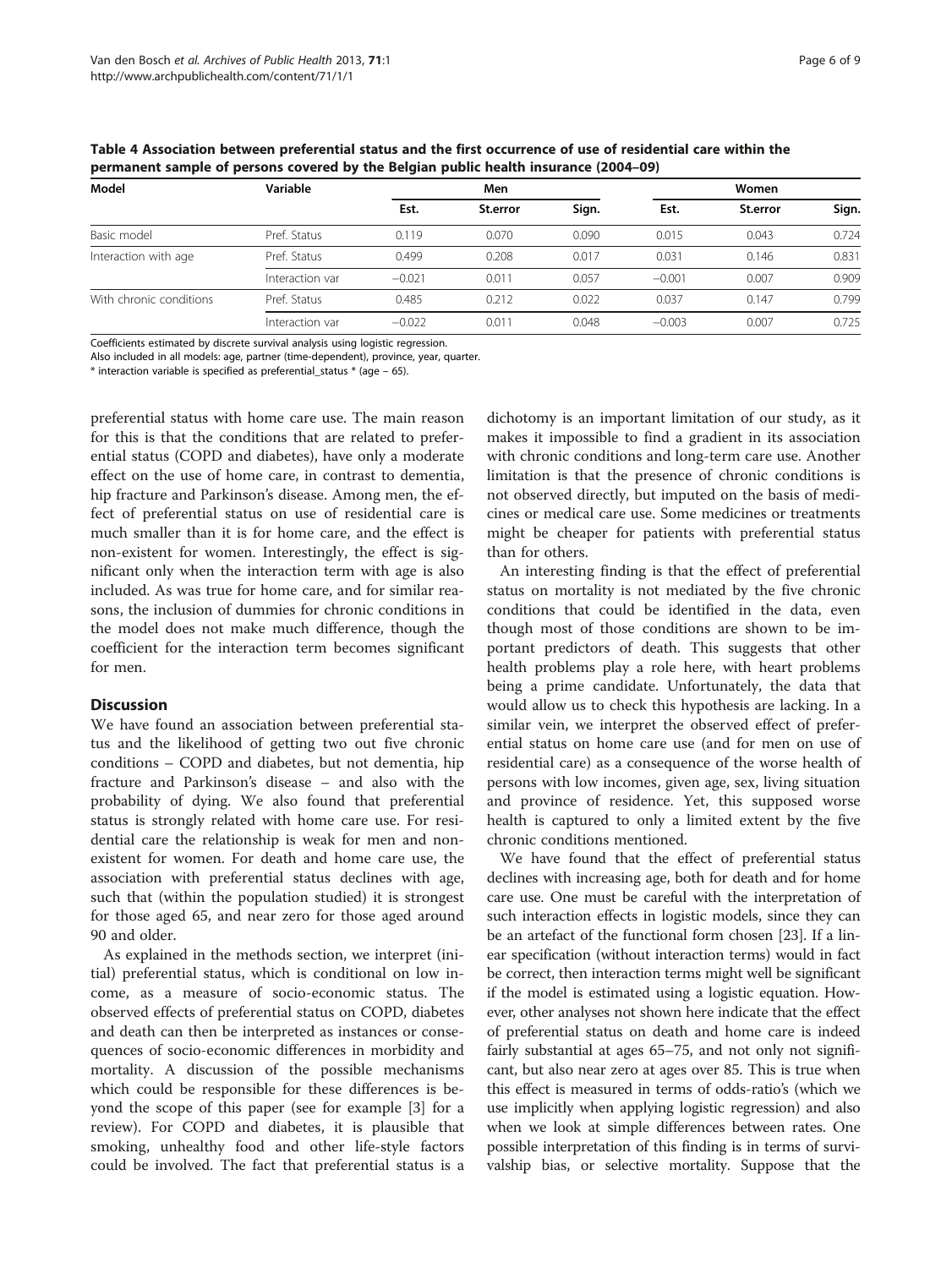| Model                   | Variable        | Men      |          |       | Women    |          |       |
|-------------------------|-----------------|----------|----------|-------|----------|----------|-------|
|                         |                 | Est.     | St.error | Sign. | Est.     | St.error | Sign. |
| Basic model             | Pref. Status    | 0.119    | 0.070    | 0.090 | 0.015    | 0.043    | 0.724 |
| Interaction with age    | Pref. Status    | 0.499    | 0.208    | 0.017 | 0.031    | 0.146    | 0.831 |
|                         | Interaction var | $-0.021$ | 0.011    | 0.057 | $-0.001$ | 0.007    | 0.909 |
| With chronic conditions | Pref. Status    | 0.485    | 0.212    | 0.022 | 0.037    | 0.147    | 0.799 |
|                         | Interaction var | $-0.022$ | 0.011    | 0.048 | $-0.003$ | 0.007    | 0.725 |

<span id="page-5-0"></span>Table 4 Association between preferential status and the first occurrence of use of residential care within the permanent sample of persons covered by the Belgian public health insurance (2004–09)

Coefficients estimated by discrete survival analysis using logistic regression.

Also included in all models: age, partner (time-dependent), province, year, quarter.

\* interaction variable is specified as preferential\_status \* (age – 65).

preferential status with home care use. The main reason for this is that the conditions that are related to preferential status (COPD and diabetes), have only a moderate effect on the use of home care, in contrast to dementia, hip fracture and Parkinson's disease. Among men, the effect of preferential status on use of residential care is much smaller than it is for home care, and the effect is non-existent for women. Interestingly, the effect is significant only when the interaction term with age is also included. As was true for home care, and for similar reasons, the inclusion of dummies for chronic conditions in the model does not make much difference, though the coefficient for the interaction term becomes significant for men.

# **Discussion**

We have found an association between preferential status and the likelihood of getting two out five chronic conditions – COPD and diabetes, but not dementia, hip fracture and Parkinson's disease – and also with the probability of dying. We also found that preferential status is strongly related with home care use. For residential care the relationship is weak for men and nonexistent for women. For death and home care use, the association with preferential status declines with age, such that (within the population studied) it is strongest for those aged 65, and near zero for those aged around 90 and older.

As explained in the methods section, we interpret (initial) preferential status, which is conditional on low income, as a measure of socio-economic status. The observed effects of preferential status on COPD, diabetes and death can then be interpreted as instances or consequences of socio-economic differences in morbidity and mortality. A discussion of the possible mechanisms which could be responsible for these differences is beyond the scope of this paper (see for example [\[3](#page-7-0)] for a review). For COPD and diabetes, it is plausible that smoking, unhealthy food and other life-style factors could be involved. The fact that preferential status is a

dichotomy is an important limitation of our study, as it makes it impossible to find a gradient in its association with chronic conditions and long-term care use. Another limitation is that the presence of chronic conditions is not observed directly, but imputed on the basis of medicines or medical care use. Some medicines or treatments might be cheaper for patients with preferential status than for others.

An interesting finding is that the effect of preferential status on mortality is not mediated by the five chronic conditions that could be identified in the data, even though most of those conditions are shown to be important predictors of death. This suggests that other health problems play a role here, with heart problems being a prime candidate. Unfortunately, the data that would allow us to check this hypothesis are lacking. In a similar vein, we interpret the observed effect of preferential status on home care use (and for men on use of residential care) as a consequence of the worse health of persons with low incomes, given age, sex, living situation and province of residence. Yet, this supposed worse health is captured to only a limited extent by the five chronic conditions mentioned.

We have found that the effect of preferential status declines with increasing age, both for death and for home care use. One must be careful with the interpretation of such interaction effects in logistic models, since they can be an artefact of the functional form chosen [\[23\]](#page-8-0). If a linear specification (without interaction terms) would in fact be correct, then interaction terms might well be significant if the model is estimated using a logistic equation. However, other analyses not shown here indicate that the effect of preferential status on death and home care is indeed fairly substantial at ages 65–75, and not only not significant, but also near zero at ages over 85. This is true when this effect is measured in terms of odds-ratio's (which we use implicitly when applying logistic regression) and also when we look at simple differences between rates. One possible interpretation of this finding is in terms of survivalship bias, or selective mortality. Suppose that the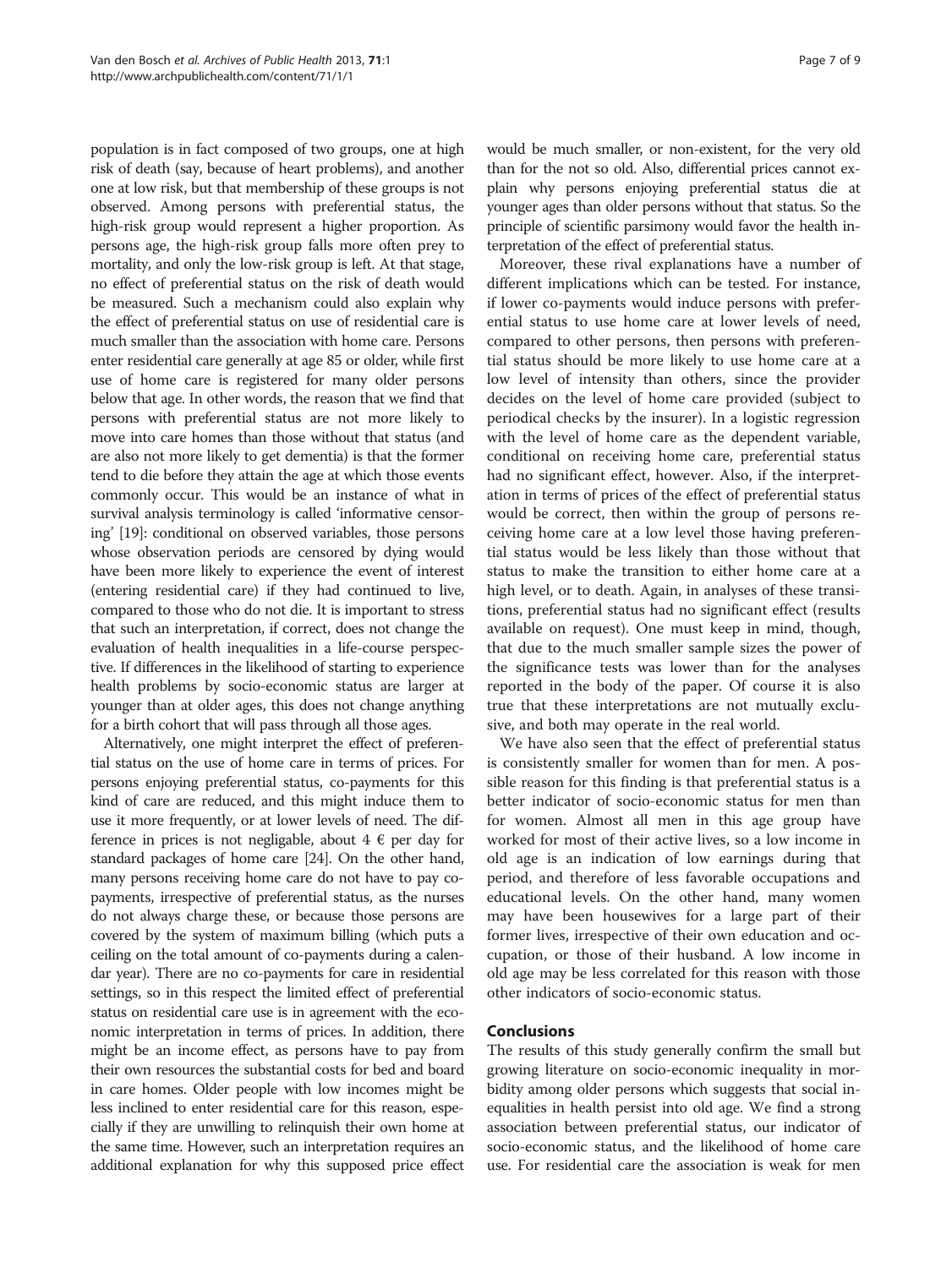population is in fact composed of two groups, one at high risk of death (say, because of heart problems), and another one at low risk, but that membership of these groups is not observed. Among persons with preferential status, the high-risk group would represent a higher proportion. As persons age, the high-risk group falls more often prey to mortality, and only the low-risk group is left. At that stage, no effect of preferential status on the risk of death would be measured. Such a mechanism could also explain why the effect of preferential status on use of residential care is much smaller than the association with home care. Persons enter residential care generally at age 85 or older, while first use of home care is registered for many older persons below that age. In other words, the reason that we find that persons with preferential status are not more likely to move into care homes than those without that status (and are also not more likely to get dementia) is that the former tend to die before they attain the age at which those events commonly occur. This would be an instance of what in survival analysis terminology is called 'informative censoring' [\[19\]](#page-8-0): conditional on observed variables, those persons whose observation periods are censored by dying would have been more likely to experience the event of interest (entering residential care) if they had continued to live, compared to those who do not die. It is important to stress that such an interpretation, if correct, does not change the evaluation of health inequalities in a life-course perspective. If differences in the likelihood of starting to experience health problems by socio-economic status are larger at younger than at older ages, this does not change anything for a birth cohort that will pass through all those ages.

Alternatively, one might interpret the effect of preferential status on the use of home care in terms of prices. For persons enjoying preferential status, co-payments for this kind of care are reduced, and this might induce them to use it more frequently, or at lower levels of need. The difference in prices is not negligable, about  $4 \in \mathfrak{p}$  per day for standard packages of home care [\[24\]](#page-8-0). On the other hand, many persons receiving home care do not have to pay copayments, irrespective of preferential status, as the nurses do not always charge these, or because those persons are covered by the system of maximum billing (which puts a ceiling on the total amount of co-payments during a calendar year). There are no co-payments for care in residential settings, so in this respect the limited effect of preferential status on residential care use is in agreement with the economic interpretation in terms of prices. In addition, there might be an income effect, as persons have to pay from their own resources the substantial costs for bed and board in care homes. Older people with low incomes might be less inclined to enter residential care for this reason, especially if they are unwilling to relinquish their own home at the same time. However, such an interpretation requires an additional explanation for why this supposed price effect

would be much smaller, or non-existent, for the very old than for the not so old. Also, differential prices cannot explain why persons enjoying preferential status die at younger ages than older persons without that status. So the principle of scientific parsimony would favor the health interpretation of the effect of preferential status.

Moreover, these rival explanations have a number of different implications which can be tested. For instance, if lower co-payments would induce persons with preferential status to use home care at lower levels of need, compared to other persons, then persons with preferential status should be more likely to use home care at a low level of intensity than others, since the provider decides on the level of home care provided (subject to periodical checks by the insurer). In a logistic regression with the level of home care as the dependent variable, conditional on receiving home care, preferential status had no significant effect, however. Also, if the interpretation in terms of prices of the effect of preferential status would be correct, then within the group of persons receiving home care at a low level those having preferential status would be less likely than those without that status to make the transition to either home care at a high level, or to death. Again, in analyses of these transitions, preferential status had no significant effect (results available on request). One must keep in mind, though, that due to the much smaller sample sizes the power of the significance tests was lower than for the analyses reported in the body of the paper. Of course it is also true that these interpretations are not mutually exclusive, and both may operate in the real world.

We have also seen that the effect of preferential status is consistently smaller for women than for men. A possible reason for this finding is that preferential status is a better indicator of socio-economic status for men than for women. Almost all men in this age group have worked for most of their active lives, so a low income in old age is an indication of low earnings during that period, and therefore of less favorable occupations and educational levels. On the other hand, many women may have been housewives for a large part of their former lives, irrespective of their own education and occupation, or those of their husband. A low income in old age may be less correlated for this reason with those other indicators of socio-economic status.

# Conclusions

The results of this study generally confirm the small but growing literature on socio-economic inequality in morbidity among older persons which suggests that social inequalities in health persist into old age. We find a strong association between preferential status, our indicator of socio-economic status, and the likelihood of home care use. For residential care the association is weak for men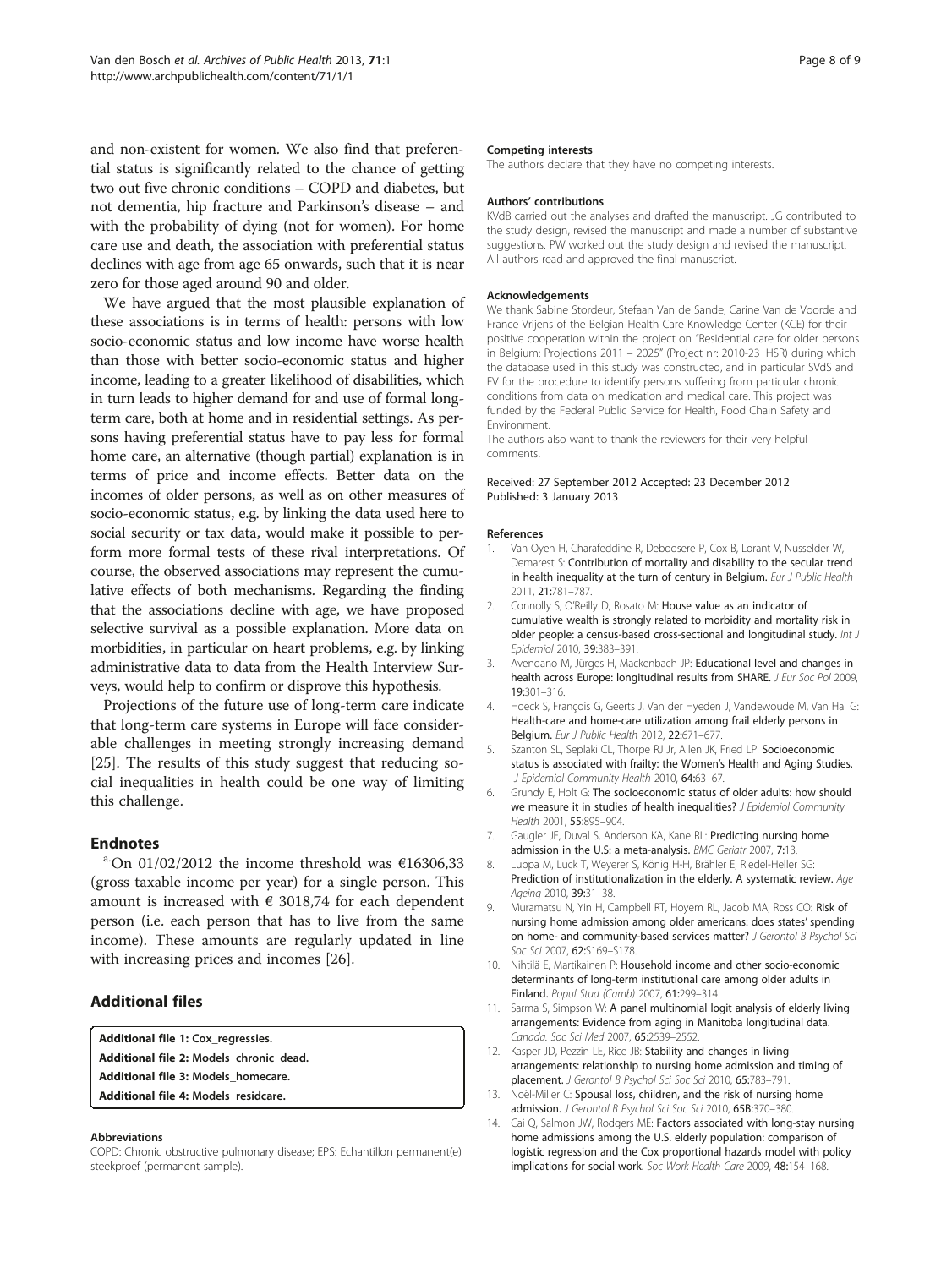<span id="page-7-0"></span>and non-existent for women. We also find that preferential status is significantly related to the chance of getting two out five chronic conditions – COPD and diabetes, but not dementia, hip fracture and Parkinson's disease – and with the probability of dying (not for women). For home care use and death, the association with preferential status declines with age from age 65 onwards, such that it is near zero for those aged around 90 and older.

We have argued that the most plausible explanation of these associations is in terms of health: persons with low socio-economic status and low income have worse health than those with better socio-economic status and higher income, leading to a greater likelihood of disabilities, which in turn leads to higher demand for and use of formal longterm care, both at home and in residential settings. As persons having preferential status have to pay less for formal home care, an alternative (though partial) explanation is in terms of price and income effects. Better data on the incomes of older persons, as well as on other measures of socio-economic status, e.g. by linking the data used here to social security or tax data, would make it possible to perform more formal tests of these rival interpretations. Of course, the observed associations may represent the cumulative effects of both mechanisms. Regarding the finding that the associations decline with age, we have proposed selective survival as a possible explanation. More data on morbidities, in particular on heart problems, e.g. by linking administrative data to data from the Health Interview Surveys, would help to confirm or disprove this hypothesis.

Projections of the future use of long-term care indicate that long-term care systems in Europe will face considerable challenges in meeting strongly increasing demand [[25\]](#page-8-0). The results of this study suggest that reducing social inequalities in health could be one way of limiting this challenge.

**Endnotes**<br><sup>a.</sup>On 01/02/2012 the income threshold was €16306,33 (gross taxable income per year) for a single person. This amount is increased with  $\epsilon$  3018,74 for each dependent person (i.e. each person that has to live from the same income). These amounts are regularly updated in line with increasing prices and incomes [[26\]](#page-8-0).

# Additional files

[Additional file 1:](http://www.biomedcentral.com/content/supplementary/0778-7367-71-1-S1.xlsx) Cox\_regressies.

- [Additional file 2:](http://www.biomedcentral.com/content/supplementary/0778-7367-71-1-S2.xlsx) Models\_chronic\_dead.
- [Additional file 3:](http://www.biomedcentral.com/content/supplementary/0778-7367-71-1-S3.xlsx) Models\_homecare.
- [Additional file 4:](http://www.biomedcentral.com/content/supplementary/0778-7367-71-1-S4.xlsx) Models\_residcare.

### Abbreviations

COPD: Chronic obstructive pulmonary disease; EPS: Echantillon permanent(e) steekproef (permanent sample).

#### Competing interests

The authors declare that they have no competing interests.

#### Authors' contributions

KVdB carried out the analyses and drafted the manuscript. JG contributed to the study design, revised the manuscript and made a number of substantive suggestions. PW worked out the study design and revised the manuscript. All authors read and approved the final manuscript.

#### Acknowledgements

We thank Sabine Stordeur, Stefaan Van de Sande, Carine Van de Voorde and France Vrijens of the Belgian Health Care Knowledge Center (KCE) for their positive cooperation within the project on "Residential care for older persons in Belgium: Projections 2011 – 2025" (Project nr: 2010-23\_HSR) during which the database used in this study was constructed, and in particular SVdS and FV for the procedure to identify persons suffering from particular chronic conditions from data on medication and medical care. This project was funded by the Federal Public Service for Health, Food Chain Safety and Environment.

The authors also want to thank the reviewers for their very helpful comments.

#### Received: 27 September 2012 Accepted: 23 December 2012 Published: 3 January 2013

#### References

- 1. Van Oyen H, Charafeddine R, Deboosere P, Cox B, Lorant V, Nusselder W, Demarest S: Contribution of mortality and disability to the secular trend in health inequality at the turn of century in Belgium. Eur J Public Health 2011, 21:781–787.
- 2. Connolly S, O'Reilly D, Rosato M: House value as an indicator of cumulative wealth is strongly related to morbidity and mortality risk in older people: a census-based cross-sectional and longitudinal study. Int J Epidemiol 2010, 39:383–391.
- 3. Avendano M, Jürges H, Mackenbach JP: Educational level and changes in health across Europe: longitudinal results from SHARE. J Eur Soc Pol 2009, 19:301–316.
- 4. Hoeck S, François G, Geerts J, Van der Hyeden J, Vandewoude M, Van Hal G: Health-care and home-care utilization among frail elderly persons in Belgium. Eur J Public Health 2012, 22:671–677.
- 5. Szanton SL, Seplaki CL, Thorpe RJ Jr, Allen JK, Fried LP: Socioeconomic status is associated with frailty: the Women's Health and Aging Studies. J Epidemiol Community Health 2010, 64:63–67.
- 6. Grundy E, Holt G: The socioeconomic status of older adults: how should we measure it in studies of health inequalities? J Epidemiol Community Health 2001, 55:895–904.
- 7. Gaugler JE, Duval S, Anderson KA, Kane RL: Predicting nursing home admission in the U.S: a meta-analysis. BMC Geriatr 2007, 7:13.
- 8. Luppa M, Luck T, Weyerer S, König H-H, Brähler E, Riedel-Heller SG: Prediction of institutionalization in the elderly. A systematic review. Age Ageing 2010, 39:31–38.
- 9. Muramatsu N, Yin H, Campbell RT, Hoyem RL, Jacob MA, Ross CO: Risk of nursing home admission among older americans: does states' spending on home- and community-based services matter? J Gerontol B Psychol Sci Soc Sci 2007, 62:S169–S178.
- 10. Nihtilä E, Martikainen P: Household income and other socio-economic determinants of long-term institutional care among older adults in Finland. Popul Stud (Camb) 2007, 61:299–314.
- 11. Sarma S, Simpson W: A panel multinomial logit analysis of elderly living arrangements: Evidence from aging in Manitoba longitudinal data. Canada. Soc Sci Med 2007, 65:2539–2552.
- 12. Kasper JD, Pezzin LE, Rice JB: Stability and changes in living arrangements: relationship to nursing home admission and timing of placement. J Gerontol B Psychol Sci Soc Sci 2010, 65:783-791.
- 13. Noël-Miller C: Spousal loss, children, and the risk of nursing home admission. J Gerontol B Psychol Sci Soc Sci 2010, 65B:370-380.
- 14. Cai Q, Salmon JW, Rodgers ME: Factors associated with long-stay nursing home admissions among the U.S. elderly population: comparison of logistic regression and the Cox proportional hazards model with policy implications for social work. Soc Work Health Care 2009, 48:154–168.